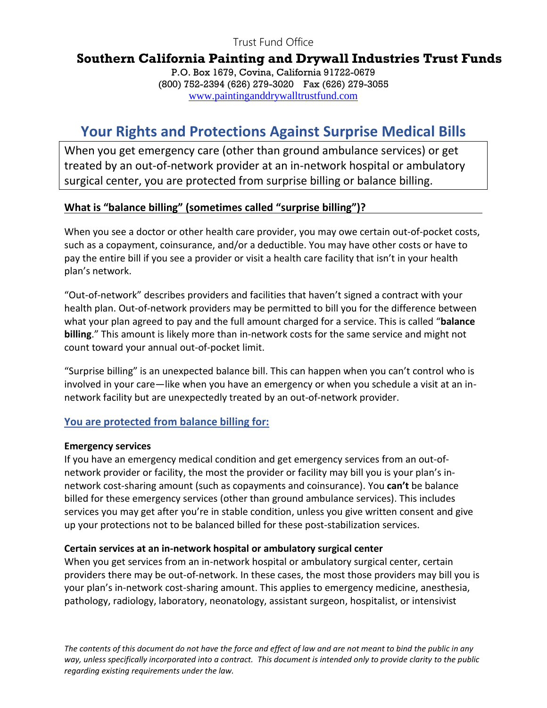Trust Fund Office

## **Southern California Painting and Drywall Industries Trust Funds**

P.O. Box 1679, Covina, California 91722-0679 (800) 752-2394 (626) 279-3020 Fax (626) 279-3055 [www.paintinganddrywalltrustfund.com](http://www.paintinganddrywalltrustfund.com/)

# **Your Rights and Protections Against Surprise Medical Bills**

When you get emergency care (other than ground ambulance services) or get treated by an out-of-network provider at an in-network hospital or ambulatory surgical center, you are protected from surprise billing or balance billing.

#### **What is "balance billing" (sometimes called "surprise billing")?**

When you see a doctor or other health care provider, you may owe certain out-of-pocket costs, such as a copayment, coinsurance, and/or a deductible. You may have other costs or have to pay the entire bill if you see a provider or visit a health care facility that isn't in your health plan's network.

"Out-of-network" describes providers and facilities that haven't signed a contract with your health plan. Out-of-network providers may be permitted to bill you for the difference between what your plan agreed to pay and the full amount charged for a service. This is called "**balance billing**." This amount is likely more than in-network costs for the same service and might not count toward your annual out-of-pocket limit.

"Surprise billing" is an unexpected balance bill. This can happen when you can't control who is involved in your care—like when you have an emergency or when you schedule a visit at an innetwork facility but are unexpectedly treated by an out-of-network provider.

#### **You are protected from balance billing for:**

#### **Emergency services**

If you have an emergency medical condition and get emergency services from an out-ofnetwork provider or facility, the most the provider or facility may bill you is your plan's innetwork cost-sharing amount (such as copayments and coinsurance). You **can't** be balance billed for these emergency services (other than ground ambulance services). This includes services you may get after you're in stable condition, unless you give written consent and give up your protections not to be balanced billed for these post-stabilization services.

#### **Certain services at an in-network hospital or ambulatory surgical center**

When you get services from an in-network hospital or ambulatory surgical center, certain providers there may be out-of-network. In these cases, the most those providers may bill you is your plan's in-network cost-sharing amount. This applies to emergency medicine, anesthesia, pathology, radiology, laboratory, neonatology, assistant surgeon, hospitalist, or intensivist

*The contents of this document do not have the force and effect of law and are not meant to bind the public in any way, unless specifically incorporated into a contract. This document is intended only to provide clarity to the public regarding existing requirements under the law.*